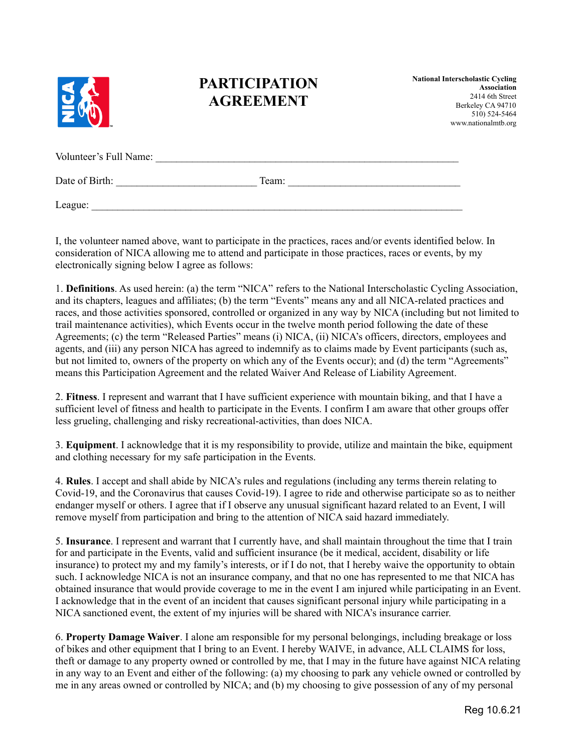

## **PARTICIPATION AGREEMENT**

**National Interscholastic Cycling Association** 2414 6th Street Berkeley CA 94710 510) 524-5464 www.nationalmtb.org

| Volunteer's Full Name: |       |
|------------------------|-------|
| Date of Birth:         | Team: |

 $\text{League:}$ 

I, the volunteer named above, want to participate in the practices, races and/or events identified below. In consideration of NICA allowing me to attend and participate in those practices, races or events, by my electronically signing below I agree as follows:

1. **Definitions**. As used herein: (a) the term "NICA" refers to the National Interscholastic Cycling Association, and its chapters, leagues and affiliates; (b) the term "Events" means any and all NICA-related practices and races, and those activities sponsored, controlled or organized in any way by NICA (including but not limited to trail maintenance activities), which Events occur in the twelve month period following the date of these Agreements; (c) the term "Released Parties" means (i) NICA, (ii) NICA's officers, directors, employees and agents, and (iii) any person NICA has agreed to indemnify as to claims made by Event participants (such as, but not limited to, owners of the property on which any of the Events occur); and (d) the term "Agreements" means this Participation Agreement and the related Waiver And Release of Liability Agreement.

2. **Fitness**. I represent and warrant that I have sufficient experience with mountain biking, and that I have a sufficient level of fitness and health to participate in the Events. I confirm I am aware that other groups offer less grueling, challenging and risky recreational-activities, than does NICA.

3. **Equipment**. I acknowledge that it is my responsibility to provide, utilize and maintain the bike, equipment and clothing necessary for my safe participation in the Events.

4. **Rules**. I accept and shall abide by NICA's rules and regulations (including any terms therein relating to Covid-19, and the Coronavirus that causes Covid-19). I agree to ride and otherwise participate so as to neither endanger myself or others. I agree that if I observe any unusual significant hazard related to an Event, I will remove myself from participation and bring to the attention of NICA said hazard immediately.

5. **Insurance**. I represent and warrant that I currently have, and shall maintain throughout the time that I train for and participate in the Events, valid and sufficient insurance (be it medical, accident, disability or life insurance) to protect my and my family's interests, or if I do not, that I hereby waive the opportunity to obtain such. I acknowledge NICA is not an insurance company, and that no one has represented to me that NICA has obtained insurance that would provide coverage to me in the event I am injured while participating in an Event. I acknowledge that in the event of an incident that causes significant personal injury while participating in a NICA sanctioned event, the extent of my injuries will be shared with NICA's insurance carrier.

6. **Property Damage Waiver**. I alone am responsible for my personal belongings, including breakage or loss of bikes and other equipment that I bring to an Event. I hereby WAIVE, in advance, ALL CLAIMS for loss, theft or damage to any property owned or controlled by me, that I may in the future have against NICA relating in any way to an Event and either of the following: (a) my choosing to park any vehicle owned or controlled by me in any areas owned or controlled by NICA; and (b) my choosing to give possession of any of my personal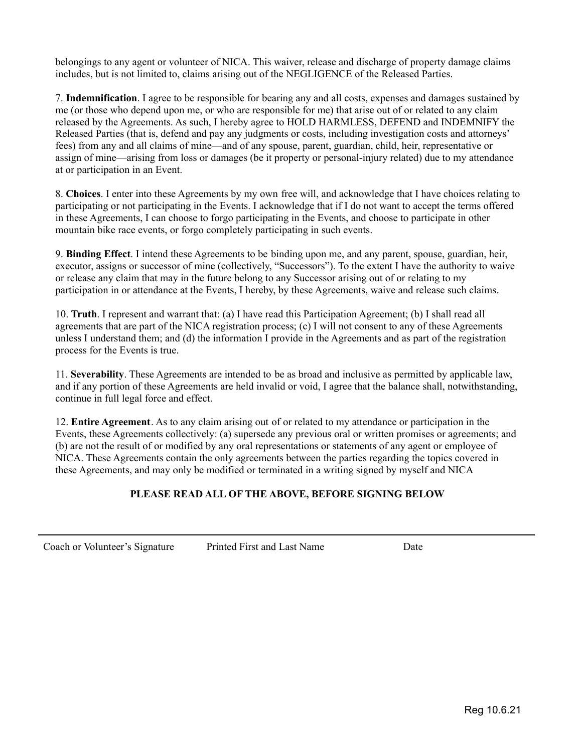belongings to any agent or volunteer of NICA. This waiver, release and discharge of property damage claims includes, but is not limited to, claims arising out of the NEGLIGENCE of the Released Parties.

7. **Indemnification**. I agree to be responsible for bearing any and all costs, expenses and damages sustained by me (or those who depend upon me, or who are responsible for me) that arise out of or related to any claim released by the Agreements. As such, I hereby agree to HOLD HARMLESS, DEFEND and INDEMNIFY the Released Parties (that is, defend and pay any judgments or costs, including investigation costs and attorneys' fees) from any and all claims of mine—and of any spouse, parent, guardian, child, heir, representative or assign of mine—arising from loss or damages (be it property or personal-injury related) due to my attendance at or participation in an Event.

8. **Choices**. I enter into these Agreements by my own free will, and acknowledge that I have choices relating to participating or not participating in the Events. I acknowledge that if I do not want to accept the terms offered in these Agreements, I can choose to forgo participating in the Events, and choose to participate in other mountain bike race events, or forgo completely participating in such events.

9. **Binding Effect**. I intend these Agreements to be binding upon me, and any parent, spouse, guardian, heir, executor, assigns or successor of mine (collectively, "Successors"). To the extent I have the authority to waive or release any claim that may in the future belong to any Successor arising out of or relating to my participation in or attendance at the Events, I hereby, by these Agreements, waive and release such claims.

10. **Truth**. I represent and warrant that: (a) I have read this Participation Agreement; (b) I shall read all agreements that are part of the NICA registration process; (c) I will not consent to any of these Agreements unless I understand them; and (d) the information I provide in the Agreements and as part of the registration process for the Events is true.

11. **Severability**. These Agreements are intended to be as broad and inclusive as permitted by applicable law, and if any portion of these Agreements are held invalid or void, I agree that the balance shall, notwithstanding, continue in full legal force and effect.

12. **Entire Agreement**. As to any claim arising out of or related to my attendance or participation in the Events, these Agreements collectively: (a) supersede any previous oral or written promises or agreements; and (b) are not the result of or modified by any oral representations or statements of any agent or employee of NICA. These Agreements contain the only agreements between the parties regarding the topics covered in these Agreements, and may only be modified or terminated in a writing signed by myself and NICA

## **PLEASE READ ALL OF THE ABOVE, BEFORE SIGNING BELOW**

Coach or Volunteer's Signature Printed First and Last Name Date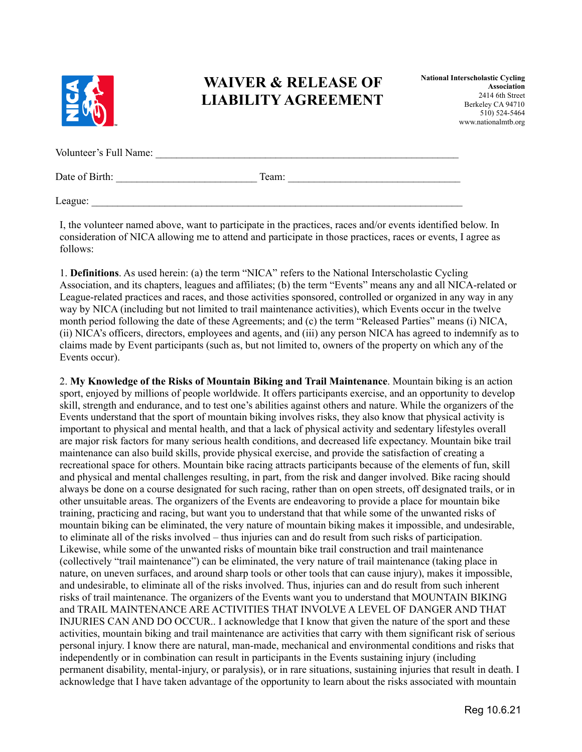

## **WAIVER & RELEASE OF LIABILITY AGREEMENT**

| Volunteer's Full Name: |       |  |
|------------------------|-------|--|
| Date of Birth:         | Team: |  |

 $\text{League:}$ 

I, the volunteer named above, want to participate in the practices, races and/or events identified below. In consideration of NICA allowing me to attend and participate in those practices, races or events, I agree as follows:

1. **Definitions**. As used herein: (a) the term "NICA" refers to the National Interscholastic Cycling Association, and its chapters, leagues and affiliates; (b) the term "Events" means any and all NICA-related or League-related practices and races, and those activities sponsored, controlled or organized in any way in any way by NICA (including but not limited to trail maintenance activities), which Events occur in the twelve month period following the date of these Agreements; and (c) the term "Released Parties" means (i) NICA, (ii) NICA's officers, directors, employees and agents, and (iii) any person NICA has agreed to indemnify as to claims made by Event participants (such as, but not limited to, owners of the property on which any of the Events occur).

2. **My Knowledge of the Risks of Mountain Biking and Trail Maintenance**. Mountain biking is an action sport, enjoyed by millions of people worldwide. It offers participants exercise, and an opportunity to develop skill, strength and endurance, and to test one's abilities against others and nature. While the organizers of the Events understand that the sport of mountain biking involves risks, they also know that physical activity is important to physical and mental health, and that a lack of physical activity and sedentary lifestyles overall are major risk factors for many serious health conditions, and decreased life expectancy. Mountain bike trail maintenance can also build skills, provide physical exercise, and provide the satisfaction of creating a recreational space for others. Mountain bike racing attracts participants because of the elements of fun, skill and physical and mental challenges resulting, in part, from the risk and danger involved. Bike racing should always be done on a course designated for such racing, rather than on open streets, off designated trails, or in other unsuitable areas. The organizers of the Events are endeavoring to provide a place for mountain bike training, practicing and racing, but want you to understand that that while some of the unwanted risks of mountain biking can be eliminated, the very nature of mountain biking makes it impossible, and undesirable, to eliminate all of the risks involved – thus injuries can and do result from such risks of participation. Likewise, while some of the unwanted risks of mountain bike trail construction and trail maintenance (collectively "trail maintenance") can be eliminated, the very nature of trail maintenance (taking place in nature, on uneven surfaces, and around sharp tools or other tools that can cause injury), makes it impossible, and undesirable, to eliminate all of the risks involved. Thus, injuries can and do result from such inherent risks of trail maintenance. The organizers of the Events want you to understand that MOUNTAIN BIKING and TRAIL MAINTENANCE ARE ACTIVITIES THAT INVOLVE A LEVEL OF DANGER AND THAT INJURIES CAN AND DO OCCUR.. I acknowledge that I know that given the nature of the sport and these activities, mountain biking and trail maintenance are activities that carry with them significant risk of serious personal injury. I know there are natural, man-made, mechanical and environmental conditions and risks that independently or in combination can result in participants in the Events sustaining injury (including permanent disability, mental-injury, or paralysis), or in rare situations, sustaining injuries that result in death. I acknowledge that I have taken advantage of the opportunity to learn about the risks associated with mountain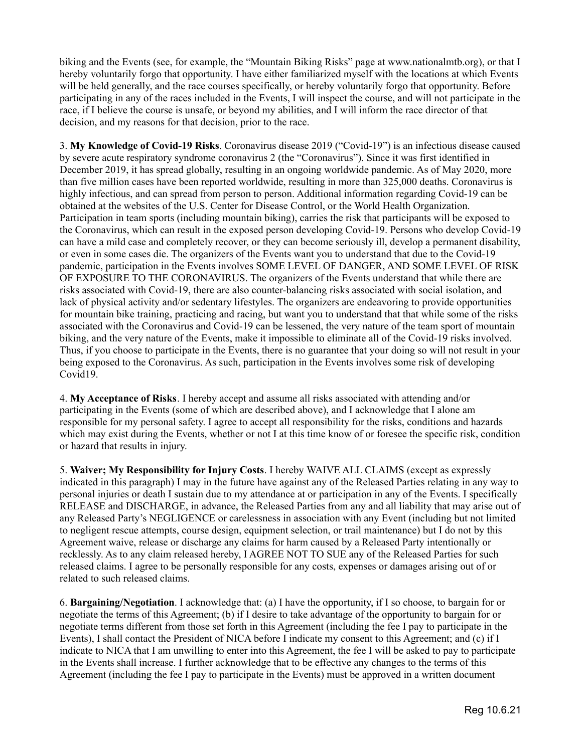biking and the Events (see, for example, the "Mountain Biking Risks" page at www.nationalmtb.org), or that I hereby voluntarily forgo that opportunity. I have either familiarized myself with the locations at which Events will be held generally, and the race courses specifically, or hereby voluntarily forgo that opportunity. Before participating in any of the races included in the Events, I will inspect the course, and will not participate in the race, if I believe the course is unsafe, or beyond my abilities, and I will inform the race director of that decision, and my reasons for that decision, prior to the race.

3. **My Knowledge of Covid-19 Risks**. Coronavirus disease 2019 ("Covid-19") is an infectious disease caused by severe acute respiratory syndrome coronavirus 2 (the "Coronavirus"). Since it was first identified in December 2019, it has spread globally, resulting in an ongoing worldwide pandemic. As of May 2020, more than five million cases have been reported worldwide, resulting in more than 325,000 deaths. Coronavirus is highly infectious, and can spread from person to person. Additional information regarding Covid-19 can be obtained at the websites of the U.S. Center for Disease Control, or the World Health Organization. Participation in team sports (including mountain biking), carries the risk that participants will be exposed to the Coronavirus, which can result in the exposed person developing Covid-19. Persons who develop Covid-19 can have a mild case and completely recover, or they can become seriously ill, develop a permanent disability, or even in some cases die. The organizers of the Events want you to understand that due to the Covid-19 pandemic, participation in the Events involves SOME LEVEL OF DANGER, AND SOME LEVEL OF RISK OF EXPOSURE TO THE CORONAVIRUS. The organizers of the Events understand that while there are risks associated with Covid-19, there are also counter-balancing risks associated with social isolation, and lack of physical activity and/or sedentary lifestyles. The organizers are endeavoring to provide opportunities for mountain bike training, practicing and racing, but want you to understand that that while some of the risks associated with the Coronavirus and Covid-19 can be lessened, the very nature of the team sport of mountain biking, and the very nature of the Events, make it impossible to eliminate all of the Covid-19 risks involved. Thus, if you choose to participate in the Events, there is no guarantee that your doing so will not result in your being exposed to the Coronavirus. As such, participation in the Events involves some risk of developing Covid19.

4. **My Acceptance of Risks**. I hereby accept and assume all risks associated with attending and/or participating in the Events (some of which are described above), and I acknowledge that I alone am responsible for my personal safety. I agree to accept all responsibility for the risks, conditions and hazards which may exist during the Events, whether or not I at this time know of or foresee the specific risk, condition or hazard that results in injury.

5. **Waiver; My Responsibility for Injury Costs**. I hereby WAIVE ALL CLAIMS (except as expressly indicated in this paragraph) I may in the future have against any of the Released Parties relating in any way to personal injuries or death I sustain due to my attendance at or participation in any of the Events. I specifically RELEASE and DISCHARGE, in advance, the Released Parties from any and all liability that may arise out of any Released Party's NEGLIGENCE or carelessness in association with any Event (including but not limited to negligent rescue attempts, course design, equipment selection, or trail maintenance) but I do not by this Agreement waive, release or discharge any claims for harm caused by a Released Party intentionally or recklessly. As to any claim released hereby, I AGREE NOT TO SUE any of the Released Parties for such released claims. I agree to be personally responsible for any costs, expenses or damages arising out of or related to such released claims.

6. **Bargaining/Negotiation**. I acknowledge that: (a) I have the opportunity, if I so choose, to bargain for or negotiate the terms of this Agreement; (b) if I desire to take advantage of the opportunity to bargain for or negotiate terms different from those set forth in this Agreement (including the fee I pay to participate in the Events), I shall contact the President of NICA before I indicate my consent to this Agreement; and (c) if I indicate to NICA that I am unwilling to enter into this Agreement, the fee I will be asked to pay to participate in the Events shall increase. I further acknowledge that to be effective any changes to the terms of this Agreement (including the fee I pay to participate in the Events) must be approved in a written document